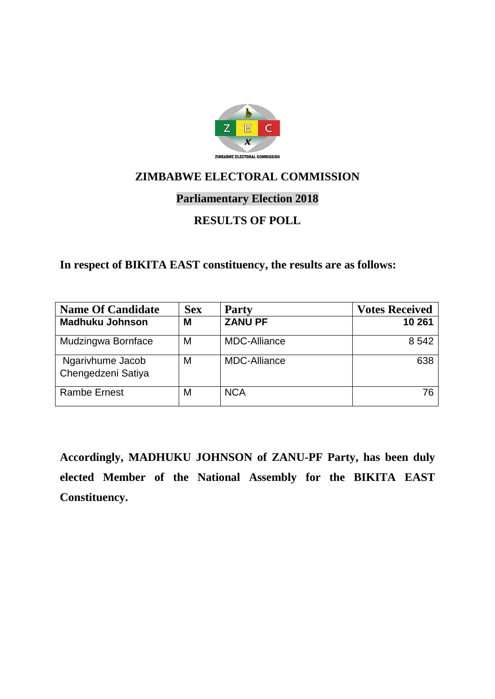

### **Parliamentary Election 2018**

### **RESULTS OF POLL**

**In respect of BIKITA EAST constituency, the results are as follows:**

| <b>Name Of Candidate</b>               | <b>Sex</b> | <b>Party</b>        | <b>Votes Received</b> |
|----------------------------------------|------------|---------------------|-----------------------|
| <b>Madhuku Johnson</b>                 | M          | <b>ZANU PF</b>      | 10 261                |
| Mudzingwa Bornface                     | M          | <b>MDC-Alliance</b> | 8 5 4 2               |
| Ngarivhume Jacob<br>Chengedzeni Satiya | M          | <b>MDC-Alliance</b> | 638                   |
| <b>Rambe Ernest</b>                    | M          | <b>NCA</b>          | 76                    |

**Accordingly, MADHUKU JOHNSON of ZANU-PF Party, has been duly elected Member of the National Assembly for the BIKITA EAST Constituency.**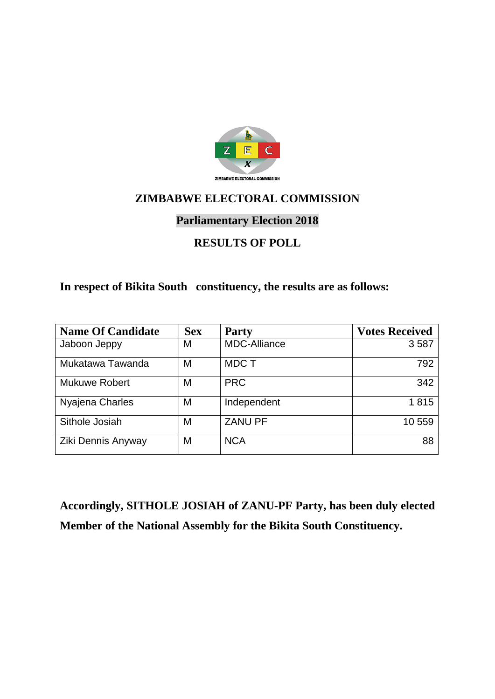

# **Parliamentary Election 2018**

### **RESULTS OF POLL**

#### **In respect of Bikita South constituency, the results are as follows:**

| <b>Name Of Candidate</b> | <b>Sex</b> | <b>Party</b>        | <b>Votes Received</b> |
|--------------------------|------------|---------------------|-----------------------|
| Jaboon Jeppy             | Μ          | <b>MDC-Alliance</b> | 3587                  |
| Mukatawa Tawanda         | M          | <b>MDCT</b>         | 792                   |
| <b>Mukuwe Robert</b>     | M          | <b>PRC</b>          | 342                   |
| Nyajena Charles          | M          | Independent         | 1815                  |
| Sithole Josiah           | M          | <b>ZANU PF</b>      | 10 559                |
| Ziki Dennis Anyway       | М          | <b>NCA</b>          | 88                    |

**Accordingly, SITHOLE JOSIAH of ZANU-PF Party, has been duly elected Member of the National Assembly for the Bikita South Constituency.**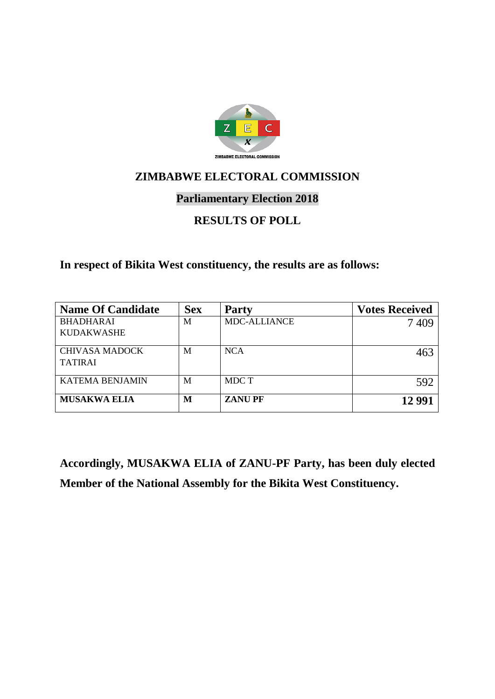

### **Parliamentary Election 2018**

### **RESULTS OF POLL**

**In respect of Bikita West constituency, the results are as follows:**

| <b>Name Of Candidate</b> | <b>Sex</b> | <b>Party</b>        | <b>Votes Received</b> |
|--------------------------|------------|---------------------|-----------------------|
| <b>BHADHARAI</b>         | M          | <b>MDC-ALLIANCE</b> | 7409                  |
| <b>KUDAKWASHE</b>        |            |                     |                       |
| <b>CHIVASA MADOCK</b>    | M          | <b>NCA</b>          | 463                   |
| <b>TATIRAI</b>           |            |                     |                       |
| <b>KATEMA BENJAMIN</b>   | M          | MDC T               | 592                   |
| <b>MUSAKWA ELIA</b>      | M          | <b>ZANUPF</b>       | 12 9 9 1              |

**Accordingly, MUSAKWA ELIA of ZANU-PF Party, has been duly elected Member of the National Assembly for the Bikita West Constituency.**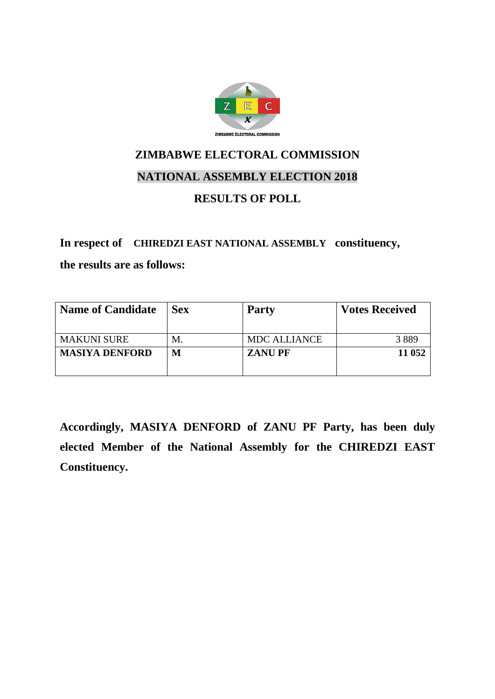

# **ZIMBABWE ELECTORAL COMMISSION NATIONAL ASSEMBLY ELECTION 2018**

### **RESULTS OF POLL**

#### **In respect of CHIREDZI EAST NATIONAL ASSEMBLY constituency,**

**the results are as follows:**

| <b>Name of Candidate</b> | <b>Sex</b> | <b>Party</b>        | <b>Votes Received</b> |
|--------------------------|------------|---------------------|-----------------------|
|                          |            |                     |                       |
| <b>MAKUNI SURE</b>       | M.         | <b>MDC ALLIANCE</b> | 3889                  |
| <b>MASIYA DENFORD</b>    | М          | <b>ZANUPF</b>       | 11 052                |
|                          |            |                     |                       |

**Accordingly, MASIYA DENFORD of ZANU PF Party, has been duly elected Member of the National Assembly for the CHIREDZI EAST Constituency.**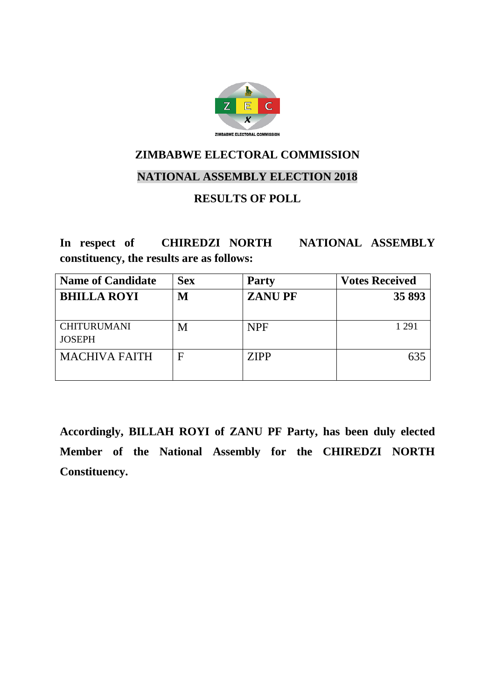

#### **NATIONAL ASSEMBLY ELECTION 2018**

### **RESULTS OF POLL**

**In respect of CHIREDZI NORTH NATIONAL ASSEMBLY constituency, the results are as follows:**

| <b>Name of Candidate</b>            | <b>Sex</b> | <b>Party</b>  | <b>Votes Received</b> |
|-------------------------------------|------------|---------------|-----------------------|
| <b>BHILLA ROYI</b>                  | М          | <b>ZANUPF</b> | 35 893                |
| <b>CHITURUMANI</b><br><b>JOSEPH</b> | M          | <b>NPF</b>    | 1 2 9 1               |
| <b>MACHIVA FAITH</b>                | F          | <b>ZIPP</b>   | 635                   |

**Accordingly, BILLAH ROYI of ZANU PF Party, has been duly elected Member of the National Assembly for the CHIREDZI NORTH Constituency.**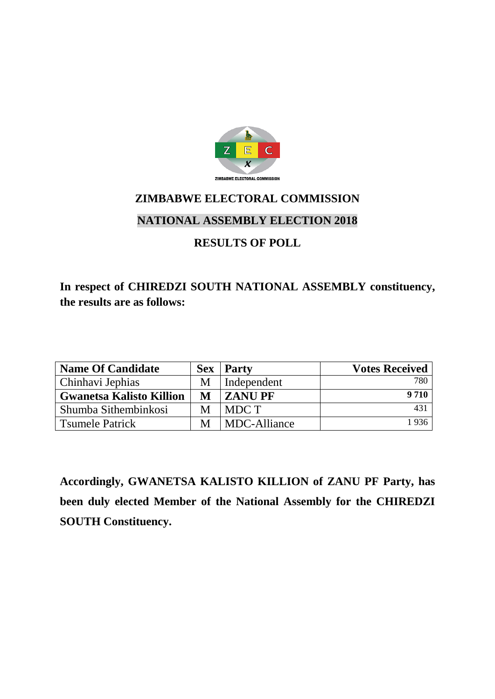

### **NATIONAL ASSEMBLY ELECTION 2018**

### **RESULTS OF POLL**

# **In respect of CHIREDZI SOUTH NATIONAL ASSEMBLY constituency, the results are as follows:**

| <b>Name Of Candidate</b>        | <b>Sex</b> | <b>Party</b>  | <b>Votes Received</b> |
|---------------------------------|------------|---------------|-----------------------|
| Chinhavi Jephias                |            | Independent   | 780                   |
| <b>Gwanetsa Kalisto Killion</b> | M          | <b>ZANUPF</b> | 9 7 1 0               |
| Shumba Sithembinkosi            | М          | MDC T         | 43 <sup>1</sup>       |
| <b>Tsumele Patrick</b>          |            | MDC-Alliance  | 1936                  |

**Accordingly, GWANETSA KALISTO KILLION of ZANU PF Party, has been duly elected Member of the National Assembly for the CHIREDZI SOUTH Constituency.**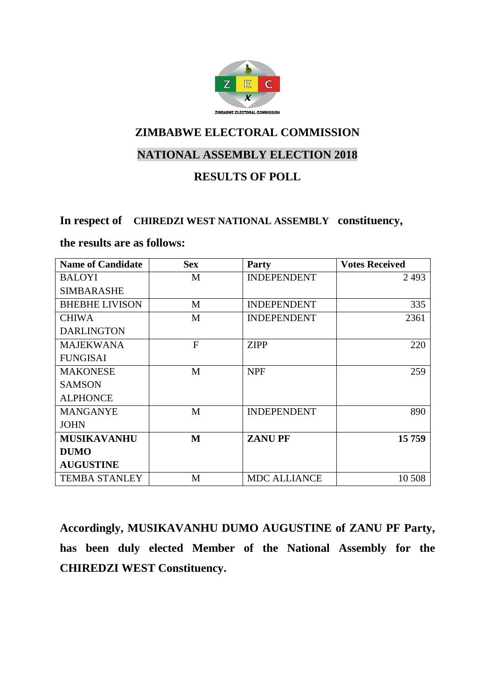

# **NATIONAL ASSEMBLY ELECTION 2018**

#### **RESULTS OF POLL**

#### **In respect of CHIREDZI WEST NATIONAL ASSEMBLY constituency,**

#### **the results are as follows:**

| <b>Name of Candidate</b> | <b>Sex</b>     | Party               | <b>Votes Received</b> |
|--------------------------|----------------|---------------------|-----------------------|
| <b>BALOYI</b>            | M              | <b>INDEPENDENT</b>  | 2493                  |
| <b>SIMBARASHE</b>        |                |                     |                       |
| <b>BHEBHE LIVISON</b>    | M              | <b>INDEPENDENT</b>  | 335                   |
| <b>CHIWA</b>             | M              | <b>INDEPENDENT</b>  | 2361                  |
| <b>DARLINGTON</b>        |                |                     |                       |
| <b>MAJEKWANA</b>         | $\overline{F}$ | <b>ZIPP</b>         | 220                   |
| <b>FUNGISAI</b>          |                |                     |                       |
| <b>MAKONESE</b>          | M              | <b>NPF</b>          | 259                   |
| <b>SAMSON</b>            |                |                     |                       |
| <b>ALPHONCE</b>          |                |                     |                       |
| <b>MANGANYE</b>          | M              | <b>INDEPENDENT</b>  | 890                   |
| <b>JOHN</b>              |                |                     |                       |
| <b>MUSIKAVANHU</b>       | M              | <b>ZANUPF</b>       | 15 759                |
| <b>DUMO</b>              |                |                     |                       |
| <b>AUGUSTINE</b>         |                |                     |                       |
| <b>TEMBA STANLEY</b>     | M              | <b>MDC ALLIANCE</b> | 10 508                |

**Accordingly, MUSIKAVANHU DUMO AUGUSTINE of ZANU PF Party, has been duly elected Member of the National Assembly for the CHIREDZI WEST Constituency.**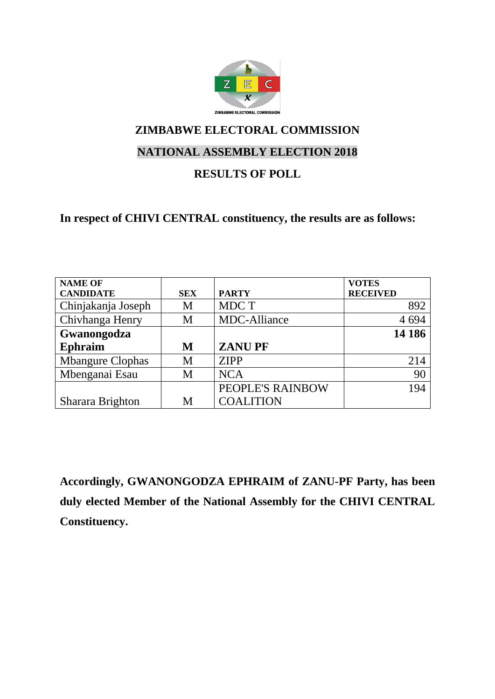

# **NATIONAL ASSEMBLY ELECTION 2018**

### **RESULTS OF POLL**

### **In respect of CHIVI CENTRAL constituency, the results are as follows:**

| <b>NAME OF</b>          |            |                  | <b>VOTES</b>    |
|-------------------------|------------|------------------|-----------------|
| <b>CANDIDATE</b>        | <b>SEX</b> | <b>PARTY</b>     | <b>RECEIVED</b> |
| Chinjakanja Joseph      | M          | MDC T            | 892             |
| Chivhanga Henry         | M          | MDC-Alliance     | 4 6 9 4         |
| Gwanongodza             |            |                  | 14 18 6         |
| <b>Ephraim</b>          | M          | <b>ZANUPF</b>    |                 |
| <b>Mbangure Clophas</b> | M          | <b>ZIPP</b>      | 214             |
| Mbenganai Esau          | M          | <b>NCA</b>       | 90              |
|                         |            | PEOPLE'S RAINBOW | 194             |
| Sharara Brighton        | Μ          | <b>COALITION</b> |                 |

**Accordingly, GWANONGODZA EPHRAIM of ZANU-PF Party, has been duly elected Member of the National Assembly for the CHIVI CENTRAL Constituency.**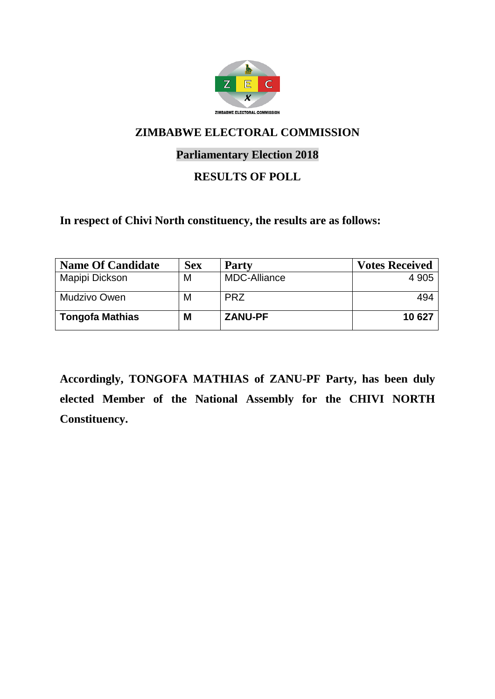

### **Parliamentary Election 2018**

### **RESULTS OF POLL**

**In respect of Chivi North constituency, the results are as follows:**

| <b>Name Of Candidate</b> | <b>Sex</b> | <b>Party</b>        | <b>Votes Received</b> |
|--------------------------|------------|---------------------|-----------------------|
| Mapipi Dickson           | M          | <b>MDC-Alliance</b> | 4 9 0 5               |
| <b>Mudzivo Owen</b>      | M          | <b>PRZ</b>          | 494                   |
| <b>Tongofa Mathias</b>   | M          | <b>ZANU-PF</b>      | 10 627                |

**Accordingly, TONGOFA MATHIAS of ZANU-PF Party, has been duly elected Member of the National Assembly for the CHIVI NORTH Constituency.**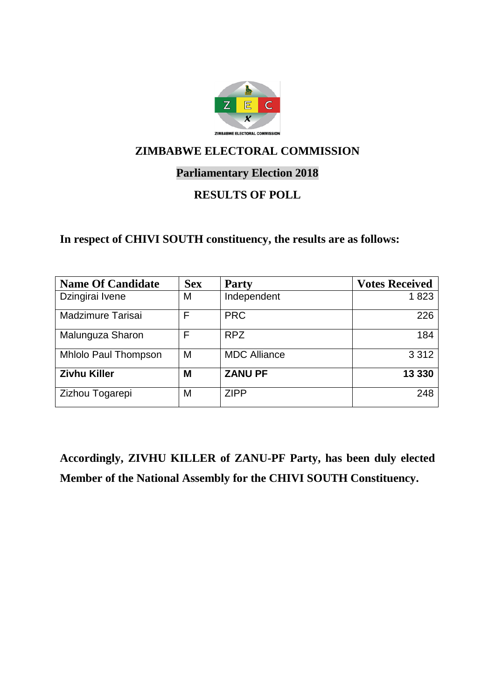

### **Parliamentary Election 2018**

### **RESULTS OF POLL**

#### **In respect of CHIVI SOUTH constituency, the results are as follows:**

| <b>Name Of Candidate</b>    | <b>Sex</b> | <b>Party</b>        | <b>Votes Received</b> |
|-----------------------------|------------|---------------------|-----------------------|
| Dzingirai Ivene             | Μ          | Independent         | 1823                  |
| Madzimure Tarisai           | F          | <b>PRC</b>          | 226                   |
| Malunguza Sharon            | F          | <b>RPZ</b>          | 184                   |
| <b>Mhlolo Paul Thompson</b> | M          | <b>MDC Alliance</b> | 3 3 1 2               |
| <b>Zivhu Killer</b>         | M          | <b>ZANU PF</b>      | 13 330                |
| Zizhou Togarepi             | M          | <b>ZIPP</b>         | 248                   |

**Accordingly, ZIVHU KILLER of ZANU-PF Party, has been duly elected Member of the National Assembly for the CHIVI SOUTH Constituency.**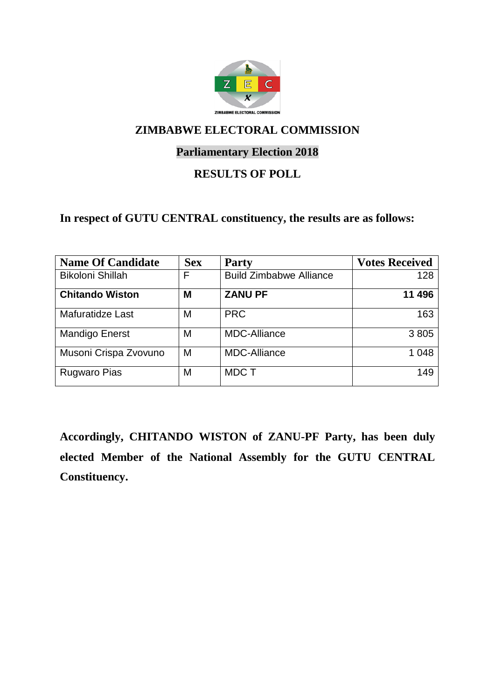

### **Parliamentary Election 2018**

### **RESULTS OF POLL**

### **In respect of GUTU CENTRAL constituency, the results are as follows:**

| <b>Name Of Candidate</b> | <b>Sex</b> | <b>Party</b>                   | <b>Votes Received</b> |
|--------------------------|------------|--------------------------------|-----------------------|
| <b>Bikoloni Shillah</b>  | F          | <b>Build Zimbabwe Alliance</b> | 128                   |
| <b>Chitando Wiston</b>   | M          | <b>ZANU PF</b>                 | 11 496                |
| Mafuratidze Last         | M          | <b>PRC</b>                     | 163                   |
| <b>Mandigo Enerst</b>    | M          | <b>MDC-Alliance</b>            | 3805                  |
| Musoni Crispa Zvovuno    | M          | <b>MDC-Alliance</b>            | 1 0 4 8               |
| <b>Rugwaro Pias</b>      | M          | <b>MDCT</b>                    | 149                   |

**Accordingly, CHITANDO WISTON of ZANU-PF Party, has been duly elected Member of the National Assembly for the GUTU CENTRAL Constituency.**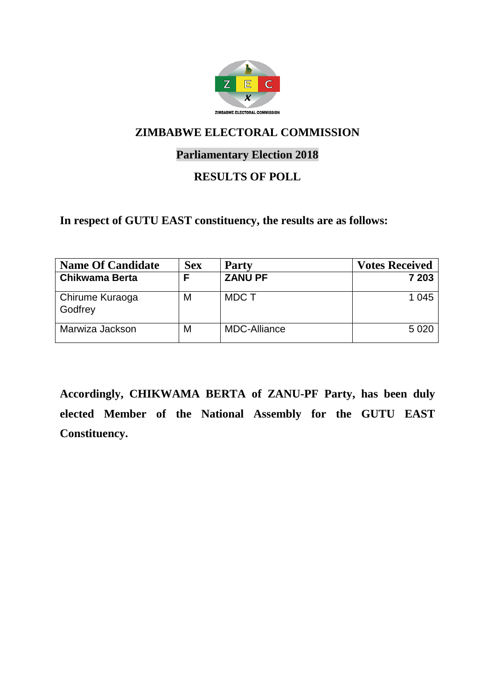

### **Parliamentary Election 2018**

### **RESULTS OF POLL**

**In respect of GUTU EAST constituency, the results are as follows:**

| <b>Name Of Candidate</b>   | <b>Sex</b> | <b>Party</b>        | <b>Votes Received</b> |
|----------------------------|------------|---------------------|-----------------------|
| Chikwama Berta             |            | <b>ZANU PF</b>      | 7 203                 |
| Chirume Kuraoga<br>Godfrey | М          | <b>MDCT</b>         | 1 0 4 5               |
| Marwiza Jackson            | М          | <b>MDC-Alliance</b> | 5 0 2 0               |

**Accordingly, CHIKWAMA BERTA of ZANU-PF Party, has been duly elected Member of the National Assembly for the GUTU EAST Constituency.**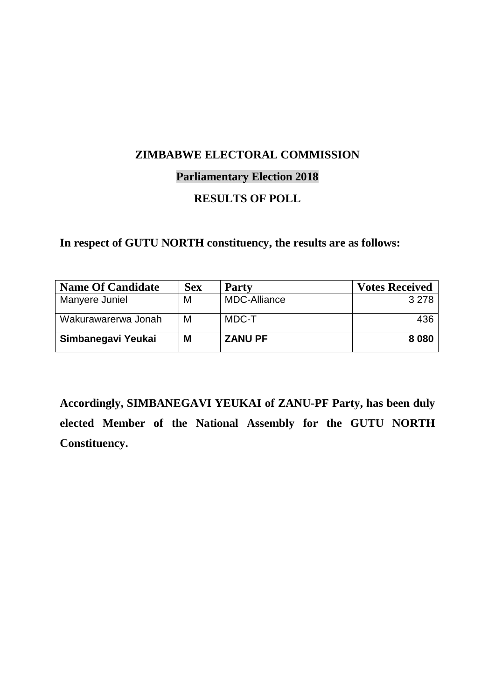#### **Parliamentary Election 2018**

### **RESULTS OF POLL**

### **In respect of GUTU NORTH constituency, the results are as follows:**

| <b>Name Of Candidate</b> | <b>Sex</b> | <b>Party</b>        | <b>Votes Received</b> |
|--------------------------|------------|---------------------|-----------------------|
| Manyere Juniel           | M          | <b>MDC-Alliance</b> | 3 2 7 8               |
| Wakurawarerwa Jonah      | M          | MDC-T               | 436                   |
| Simbanegavi Yeukai       | M          | <b>ZANU PF</b>      | 8 0 8 0               |

**Accordingly, SIMBANEGAVI YEUKAI of ZANU-PF Party, has been duly elected Member of the National Assembly for the GUTU NORTH Constituency.**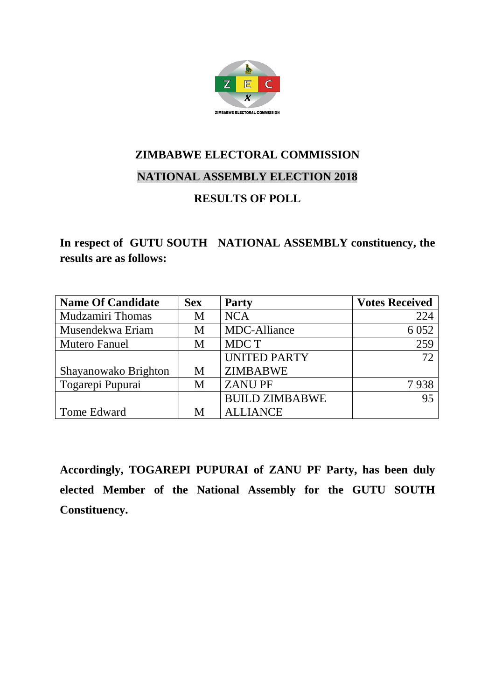

### **NATIONAL ASSEMBLY ELECTION 2018**

### **RESULTS OF POLL**

### **In respect of GUTU SOUTH NATIONAL ASSEMBLY constituency, the results are as follows:**

| <b>Name Of Candidate</b> | <b>Sex</b> | <b>Party</b>          | <b>Votes Received</b> |
|--------------------------|------------|-----------------------|-----------------------|
| <b>Mudzamiri Thomas</b>  | M          | <b>NCA</b>            | 224                   |
| Musendekwa Eriam         | M          | <b>MDC-Alliance</b>   | 6 0 5 2               |
| <b>Mutero Fanuel</b>     | M          | MDC T                 | 259                   |
|                          |            | <b>UNITED PARTY</b>   | 72                    |
| Shayanowako Brighton     | М          | <b>ZIMBABWE</b>       |                       |
| Togarepi Pupurai         | M          | <b>ZANUPF</b>         | 7938                  |
|                          |            | <b>BUILD ZIMBABWE</b> | 95                    |
| Tome Edward              | M          | <b>ALLIANCE</b>       |                       |

**Accordingly, TOGAREPI PUPURAI of ZANU PF Party, has been duly elected Member of the National Assembly for the GUTU SOUTH Constituency.**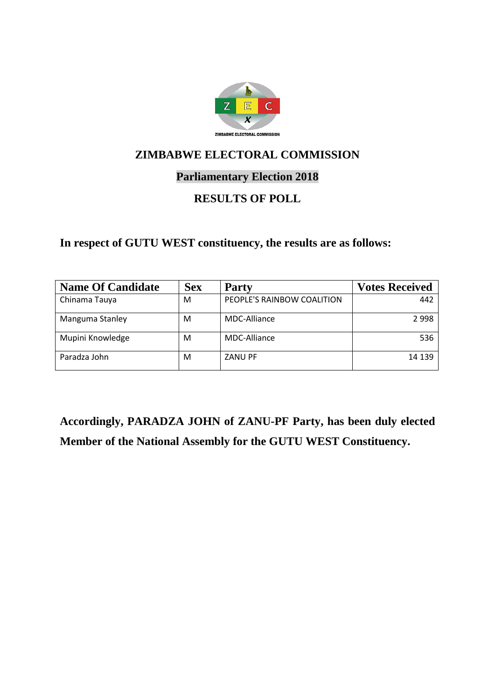

### **Parliamentary Election 2018**

### **RESULTS OF POLL**

### **In respect of GUTU WEST constituency, the results are as follows:**

| <b>Name Of Candidate</b> | <b>Sex</b> | <b>Party</b>               | <b>Votes Received</b> |
|--------------------------|------------|----------------------------|-----------------------|
| Chinama Tauya            | M          | PEOPLE'S RAINBOW COALITION | 442                   |
| Manguma Stanley          | M          | MDC-Alliance               | 2998                  |
| Mupini Knowledge         | M          | MDC-Alliance               | 536                   |
| Paradza John             | м          | <b>ZANU PF</b>             | 14 139                |

**Accordingly, PARADZA JOHN of ZANU-PF Party, has been duly elected Member of the National Assembly for the GUTU WEST Constituency.**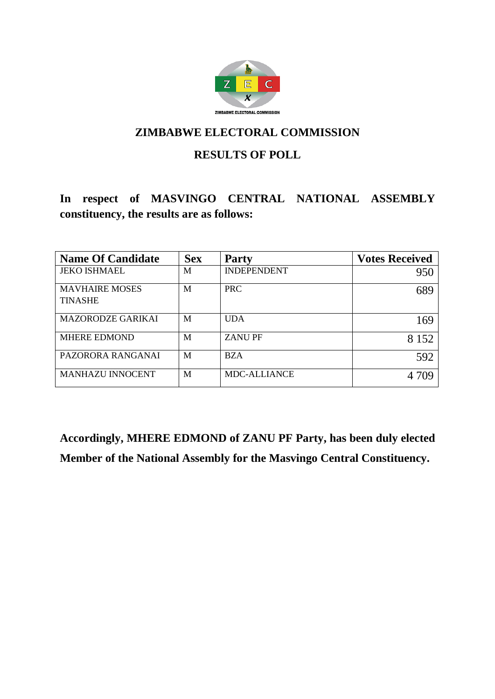

### **RESULTS OF POLL**

# **In respect of MASVINGO CENTRAL NATIONAL ASSEMBLY constituency, the results are as follows:**

| <b>Name Of Candidate</b>                | <b>Sex</b> | <b>Party</b>        | <b>Votes Received</b> |
|-----------------------------------------|------------|---------------------|-----------------------|
| <b>JEKO ISHMAEL</b>                     | M          | <b>INDEPENDENT</b>  | 950                   |
| <b>MAVHAIRE MOSES</b><br><b>TINASHE</b> | M          | <b>PRC</b>          | 689                   |
| <b>MAZORODZE GARIKAI</b>                | M          | <b>UDA</b>          | 169                   |
| <b>MHERE EDMOND</b>                     | M          | <b>ZANUPF</b>       | 8 1 5 2               |
| PAZORORA RANGANAI                       | M          | <b>BZA</b>          | 592                   |
| <b>MANHAZU INNOCENT</b>                 | M          | <b>MDC-ALLIANCE</b> |                       |

**Accordingly, MHERE EDMOND of ZANU PF Party, has been duly elected Member of the National Assembly for the Masvingo Central Constituency.**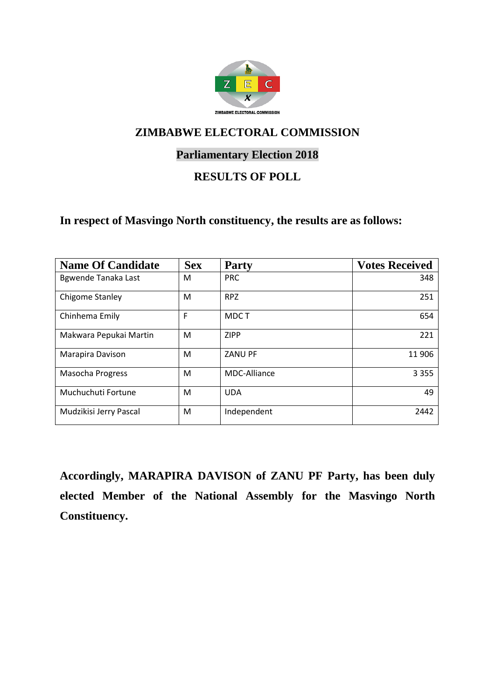

### **Parliamentary Election 2018**

### **RESULTS OF POLL**

#### **In respect of Masvingo North constituency, the results are as follows:**

| <b>Name Of Candidate</b> | <b>Sex</b> | <b>Party</b>   | <b>Votes Received</b> |
|--------------------------|------------|----------------|-----------------------|
| Bgwende Tanaka Last      | М          | <b>PRC</b>     | 348                   |
| <b>Chigome Stanley</b>   | M          | <b>RPZ</b>     | 251                   |
| Chinhema Emily           | F          | MDC T          | 654                   |
| Makwara Pepukai Martin   | M          | <b>ZIPP</b>    | 221                   |
| Marapira Davison         | M          | <b>ZANU PF</b> | 11 906                |
| <b>Masocha Progress</b>  | M          | MDC-Alliance   | 3 3 5 5               |
| Muchuchuti Fortune       | M          | <b>UDA</b>     | 49                    |
| Mudzikisi Jerry Pascal   | M          | Independent    | 2442                  |

**Accordingly, MARAPIRA DAVISON of ZANU PF Party, has been duly elected Member of the National Assembly for the Masvingo North Constituency.**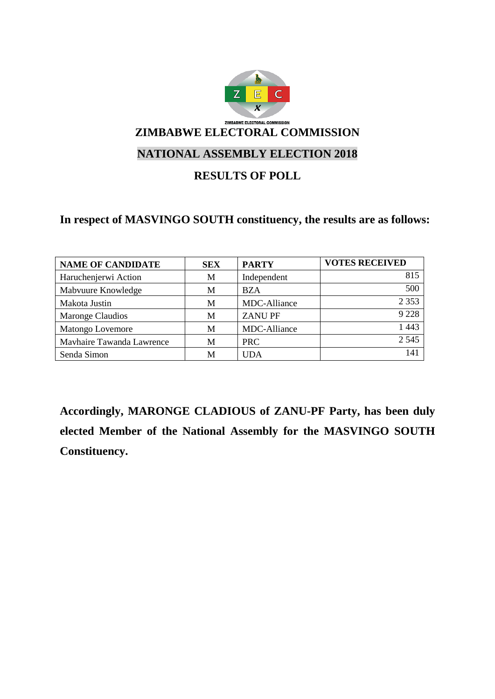

### **RESULTS OF POLL**

### **In respect of MASVINGO SOUTH constituency, the results are as follows:**

| <b>NAME OF CANDIDATE</b>  | <b>SEX</b> | <b>PARTY</b>  | <b>VOTES RECEIVED</b> |
|---------------------------|------------|---------------|-----------------------|
| Haruchenjerwi Action      | M          | Independent   | 815                   |
| Mabvuure Knowledge        | M          | <b>BZA</b>    | 500                   |
| Makota Justin             | M          | MDC-Alliance  | 2 3 5 3               |
| <b>Maronge Claudios</b>   | M          | <b>ZANUPF</b> | 9 2 2 8               |
| <b>Matongo Lovemore</b>   | М          | MDC-Alliance  | 1 4 4 3               |
| Mayhaire Tawanda Lawrence | M          | <b>PRC</b>    | 2 5 4 5               |
| Senda Simon               | М          | <b>UDA</b>    | 141                   |

**Accordingly, MARONGE CLADIOUS of ZANU-PF Party, has been duly elected Member of the National Assembly for the MASVINGO SOUTH Constituency.**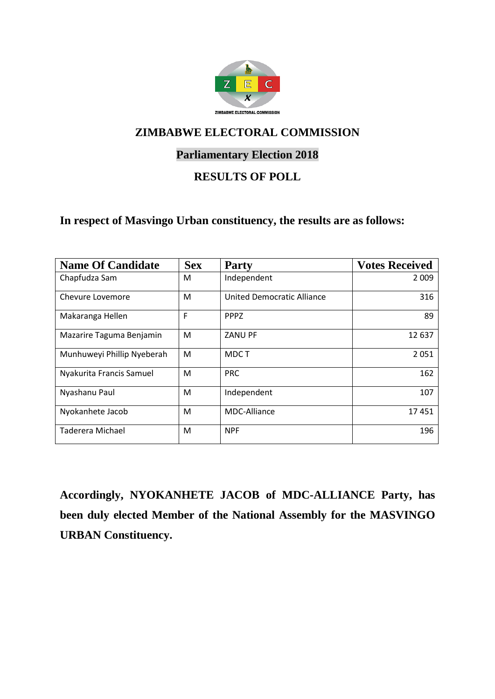

### **Parliamentary Election 2018**

### **RESULTS OF POLL**

#### **In respect of Masvingo Urban constituency, the results are as follows:**

| <b>Name Of Candidate</b>   | <b>Sex</b> | <b>Party</b>               | <b>Votes Received</b> |
|----------------------------|------------|----------------------------|-----------------------|
| Chapfudza Sam              | M          | Independent                | 2 0 0 9               |
| Chevure Lovemore           | M          | United Democratic Alliance | 316                   |
| Makaranga Hellen           | F          | <b>PPPZ</b>                | 89                    |
| Mazarire Taguma Benjamin   | M          | <b>ZANU PF</b>             | 12 637                |
| Munhuweyi Phillip Nyeberah | M          | MDC T                      | 2051                  |
| Nyakurita Francis Samuel   | M          | <b>PRC</b>                 | 162                   |
| Nyashanu Paul              | M          | Independent                | 107                   |
| Nyokanhete Jacob           | M          | MDC-Alliance               | 17451                 |
| Taderera Michael           | M          | <b>NPF</b>                 | 196                   |

**Accordingly, NYOKANHETE JACOB of MDC-ALLIANCE Party, has been duly elected Member of the National Assembly for the MASVINGO URBAN Constituency.**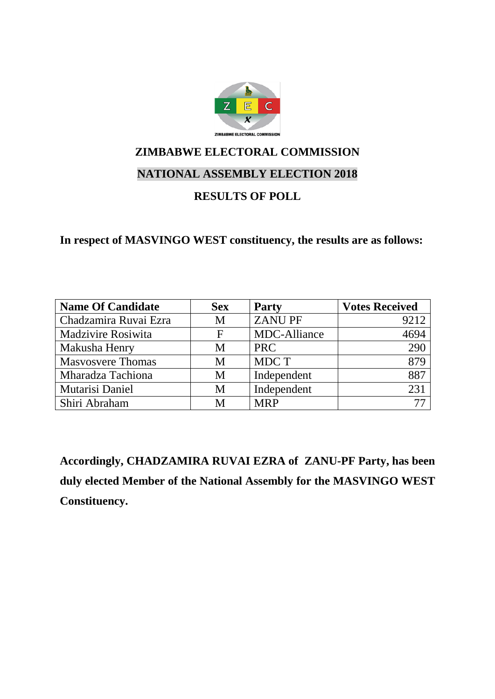

### **NATIONAL ASSEMBLY ELECTION 2018**

### **RESULTS OF POLL**

**In respect of MASVINGO WEST constituency, the results are as follows:**

| <b>Name Of Candidate</b> | <b>Sex</b> | <b>Party</b>        | <b>Votes Received</b> |
|--------------------------|------------|---------------------|-----------------------|
| Chadzamira Ruvai Ezra    | M          | <b>ZANUPF</b>       | 9212                  |
| Madzivire Rosiwita       | F          | <b>MDC-Alliance</b> | 4694                  |
| Makusha Henry            | M          | <b>PRC</b>          | 290                   |
| <b>Masyosvere Thomas</b> | M          | MDC T               | 879                   |
| Mharadza Tachiona        | M          | Independent         | 887                   |
| Mutarisi Daniel          | M          | Independent         | 231                   |
| Shiri Abraham            | M          | <b>MRP</b>          |                       |

**Accordingly, CHADZAMIRA RUVAI EZRA of ZANU-PF Party, has been duly elected Member of the National Assembly for the MASVINGO WEST Constituency.**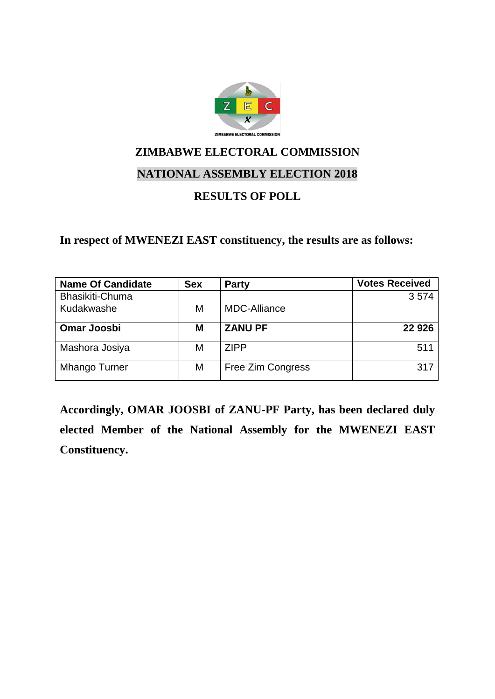

### **NATIONAL ASSEMBLY ELECTION 2018**

### **RESULTS OF POLL**

**In respect of MWENEZI EAST constituency, the results are as follows:**

| <b>Name Of Candidate</b> | <b>Sex</b> | <b>Party</b>        | <b>Votes Received</b> |
|--------------------------|------------|---------------------|-----------------------|
| Bhasikiti-Chuma          |            |                     | 3574                  |
| Kudakwashe               | М          | <b>MDC-Alliance</b> |                       |
| <b>Omar Joosbi</b>       | Μ          | <b>ZANU PF</b>      | 22 9 26               |
| Mashora Josiya           | М          | <b>ZIPP</b>         | 511                   |
| Mhango Turner            | Μ          | Free Zim Congress   | 317                   |

**Accordingly, OMAR JOOSBI of ZANU-PF Party, has been declared duly elected Member of the National Assembly for the MWENEZI EAST Constituency.**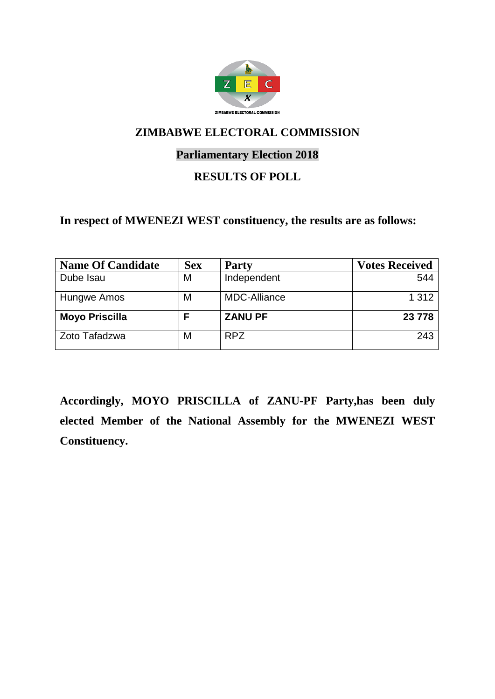

### **Parliamentary Election 2018**

### **RESULTS OF POLL**

#### **In respect of MWENEZI WEST constituency, the results are as follows:**

| <b>Name Of Candidate</b> | <b>Sex</b> | <b>Party</b>        | <b>Votes Received</b> |
|--------------------------|------------|---------------------|-----------------------|
| Dube Isau                | Μ          | Independent         | 544                   |
| Hungwe Amos              | Μ          | <b>MDC-Alliance</b> | 1 3 1 2               |
| <b>Moyo Priscilla</b>    |            | <b>ZANU PF</b>      | 23 778                |
| Zoto Tafadzwa            | Μ          | <b>RPZ</b>          | 243                   |

**Accordingly, MOYO PRISCILLA of ZANU-PF Party,has been duly elected Member of the National Assembly for the MWENEZI WEST Constituency.**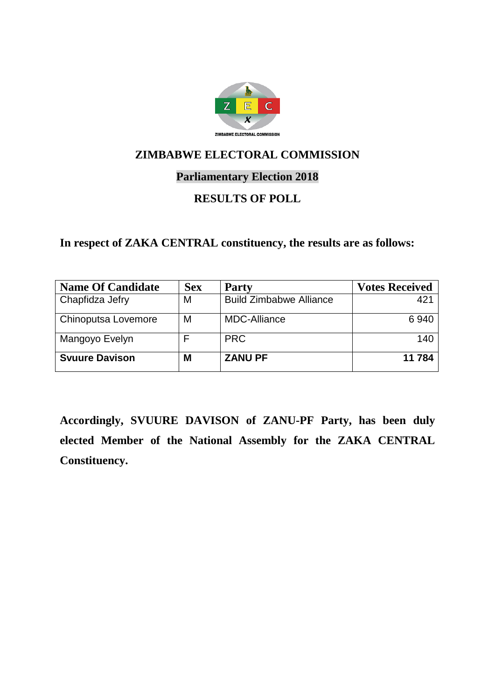

### **Parliamentary Election 2018**

### **RESULTS OF POLL**

### **In respect of ZAKA CENTRAL constituency, the results are as follows:**

| <b>Name Of Candidate</b> | <b>Sex</b> | <b>Party</b>                   | <b>Votes Received</b> |
|--------------------------|------------|--------------------------------|-----------------------|
| Chapfidza Jefry          | M          | <b>Build Zimbabwe Alliance</b> | 421                   |
| Chinoputsa Lovemore      | M          | <b>MDC-Alliance</b>            | 6940                  |
| Mangoyo Evelyn           |            | <b>PRC</b>                     | 140                   |
| <b>Svuure Davison</b>    | M          | <b>ZANU PF</b>                 | 11 784                |

**Accordingly, SVUURE DAVISON of ZANU-PF Party, has been duly elected Member of the National Assembly for the ZAKA CENTRAL Constituency.**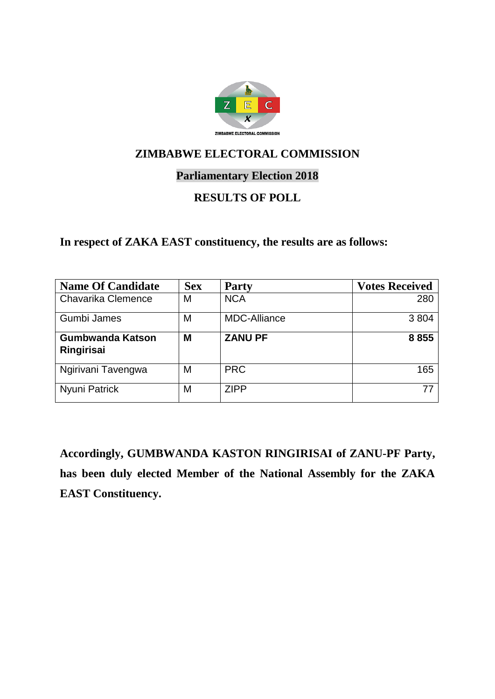

### **Parliamentary Election 2018**

### **RESULTS OF POLL**

#### **In respect of ZAKA EAST constituency, the results are as follows:**

| <b>Name Of Candidate</b>       | <b>Sex</b> | <b>Party</b>        | <b>Votes Received</b> |
|--------------------------------|------------|---------------------|-----------------------|
| <b>Chavarika Clemence</b>      | М          | <b>NCA</b>          | 280                   |
| Gumbi James                    | М          | <b>MDC-Alliance</b> | 3804                  |
| Gumbwanda Katson<br>Ringirisai | M          | <b>ZANU PF</b>      | 8855                  |
| Ngirivani Tavengwa             | М          | <b>PRC</b>          | 165                   |
| Nyuni Patrick                  | M          | <b>ZIPP</b>         | 77                    |

**Accordingly, GUMBWANDA KASTON RINGIRISAI of ZANU-PF Party, has been duly elected Member of the National Assembly for the ZAKA EAST Constituency.**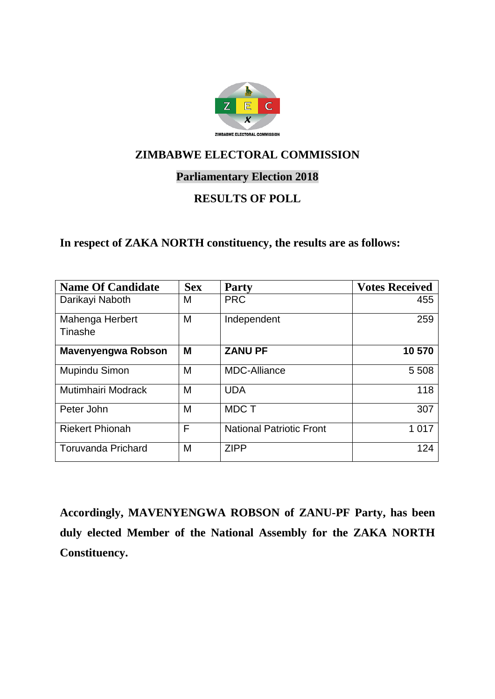

### **Parliamentary Election 2018**

# **RESULTS OF POLL**

### **In respect of ZAKA NORTH constituency, the results are as follows:**

| <b>Name Of Candidate</b>   | <b>Sex</b> | <b>Party</b>                    | <b>Votes Received</b> |
|----------------------------|------------|---------------------------------|-----------------------|
| Darikayi Naboth            | М          | <b>PRC</b>                      | 455                   |
| Mahenga Herbert<br>Tinashe | M          | Independent                     | 259                   |
| <b>Mavenyengwa Robson</b>  | M          | <b>ZANU PF</b>                  | 10 570                |
| Mupindu Simon              | M          | <b>MDC-Alliance</b>             | 5 5 0 8               |
| Mutimhairi Modrack         | M          | <b>UDA</b>                      | 118                   |
| Peter John                 | M          | <b>MDCT</b>                     | 307                   |
| <b>Riekert Phionah</b>     | F          | <b>National Patriotic Front</b> | 1 0 1 7               |
| <b>Toruvanda Prichard</b>  | M          | <b>ZIPP</b>                     | 124                   |

**Accordingly, MAVENYENGWA ROBSON of ZANU-PF Party, has been duly elected Member of the National Assembly for the ZAKA NORTH Constituency.**